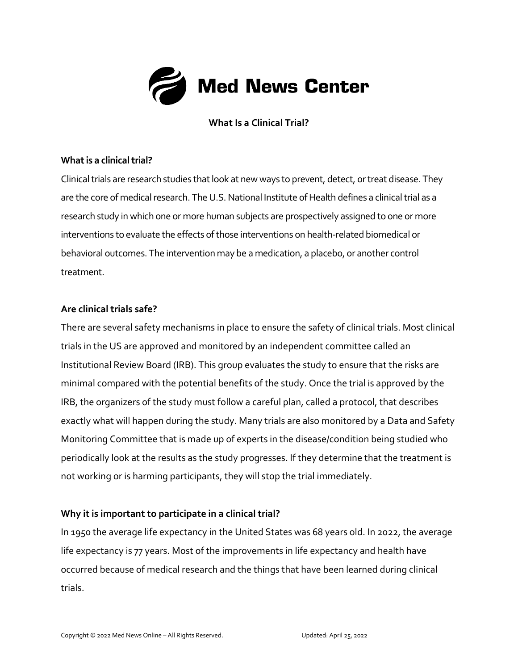

**What Is a Clinical Trial?**

#### **What is a clinical trial?**

Clinical trials are research studies that look at new ways to prevent, detect, or treat disease. They are the core of medical research. The U.S. National Institute of Health defines a clinical trial as a research study in which one or more human subjects are prospectively assigned to one or more interventions to evaluate the effects of those interventions on health-related biomedical or behavioral outcomes. The intervention may be a medication, a placebo, or another control treatment.

#### **Are clinical trials safe?**

There are several safety mechanisms in place to ensure the safety of clinical trials. Most clinical trials in the US are approved and monitored by an independent committee called an Institutional Review Board (IRB). This group evaluates the study to ensure that the risks are minimal compared with the potential benefits of the study. Once the trial is approved by the IRB, the organizers of the study must follow a careful plan, called a protocol, that describes exactly what will happen during the study. Many trials are also monitored by a Data and Safety Monitoring Committee that is made up of experts in the disease/condition being studied who periodically look at the results as the study progresses. If they determine that the treatment is not working or is harming participants, they will stop the trial immediately.

### **Why it is important to participate in a clinical trial?**

In 1950 the average life expectancy in the United States was 68 years old. In 2022, the average life expectancy is 77 years. Most of the improvements in life expectancy and health have occurred because of medical research and the things that have been learned during clinical trials.